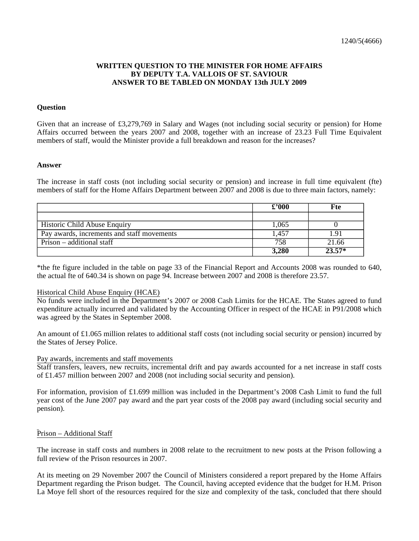# **WRITTEN QUESTION TO THE MINISTER FOR HOME AFFAIRS BY DEPUTY T.A. VALLOIS OF ST. SAVIOUR ANSWER TO BE TABLED ON MONDAY 13th JULY 2009**

## **Question**

Given that an increase of £3,279,769 in Salary and Wages (not including social security or pension) for Home Affairs occurred between the years 2007 and 2008, together with an increase of 23.23 Full Time Equivalent members of staff, would the Minister provide a full breakdown and reason for the increases?

### **Answer**

The increase in staff costs (not including social security or pension) and increase in full time equivalent (fte) members of staff for the Home Affairs Department between 2007 and 2008 is due to three main factors, namely:

|                                            | £2000 | Fte      |
|--------------------------------------------|-------|----------|
|                                            |       |          |
| <b>Historic Child Abuse Enquiry</b>        | 1.065 |          |
| Pay awards, increments and staff movements | 1.457 |          |
| Prison – additional staff                  | 758   | 21.66    |
|                                            | 3,280 | $23.57*$ |

\*the fte figure included in the table on page 33 of the Financial Report and Accounts 2008 was rounded to 640, the actual fte of 640.34 is shown on page 94. Increase between 2007 and 2008 is therefore 23.57.

#### Historical Child Abuse Enquiry (HCAE)

No funds were included in the Department's 2007 or 2008 Cash Limits for the HCAE. The States agreed to fund expenditure actually incurred and validated by the Accounting Officer in respect of the HCAE in P91/2008 which was agreed by the States in September 2008.

An amount of £1.065 million relates to additional staff costs (not including social security or pension) incurred by the States of Jersey Police.

### Pay awards, increments and staff movements

Staff transfers, leavers, new recruits, incremental drift and pay awards accounted for a net increase in staff costs of £1.457 million between 2007 and 2008 (not including social security and pension).

For information, provision of £1.699 million was included in the Department's 2008 Cash Limit to fund the full year cost of the June 2007 pay award and the part year costs of the 2008 pay award (including social security and pension).

### Prison – Additional Staff

The increase in staff costs and numbers in 2008 relate to the recruitment to new posts at the Prison following a full review of the Prison resources in 2007.

At its meeting on 29 November 2007 the Council of Ministers considered a report prepared by the Home Affairs Department regarding the Prison budget. The Council, having accepted evidence that the budget for H.M. Prison La Moye fell short of the resources required for the size and complexity of the task, concluded that there should